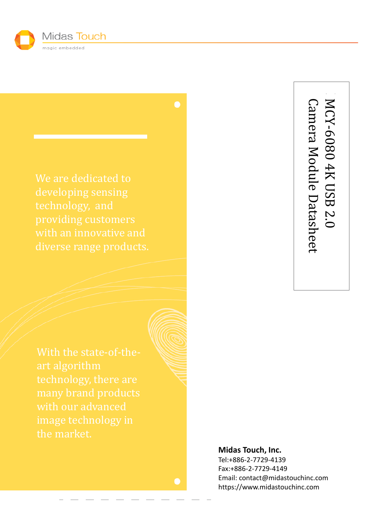

developing sensing technology, and

technology, there are image technology in

Camera Module Datasheet MCY-6080 4K USB 2.0 Camera Module Datasheet -6080 4K USB 2.0

#### **Midas Touch, Inc.**

Tel:+886-2-7729-4139 Fax:+886-2-7729-4149 Email: contact@midastouchinc.com https://www.midastouchinc.com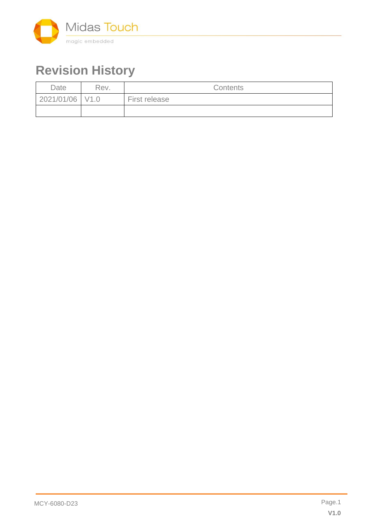

# **Revision History**

| Date            | Rev. | <b>Contents</b> |
|-----------------|------|-----------------|
| 2021/01/06 V1.0 |      | First release   |
|                 |      |                 |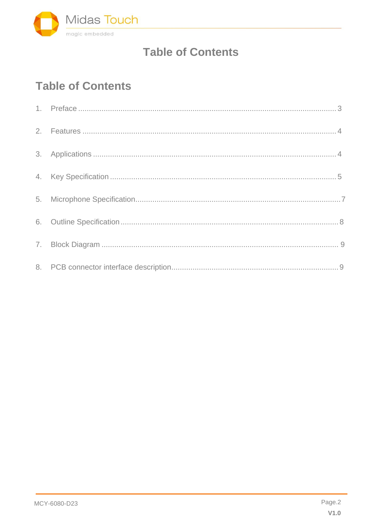

## **Table of Contents**

# **Table of Contents**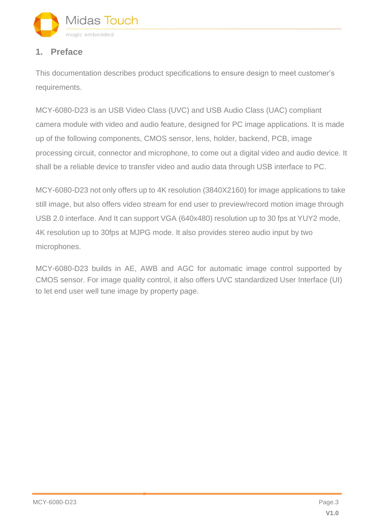

#### **1. Preface**

This documentation describes product specifications to ensure design to meet customer's requirements.

MCY-6080-D23 is an USB Video Class (UVC) and USB Audio Class (UAC) compliant camera module with video and audio feature, designed for PC image applications. It is made up of the following components, CMOS sensor, lens, holder, backend, PCB, image processing circuit, connector and microphone, to come out a digital video and audio device. It shall be a reliable device to transfer video and audio data through USB interface to PC.

MCY-6080-D23 not only offers up to 4K resolution (3840X2160) for image applications to take still image, but also offers video stream for end user to preview/record motion image through USB 2.0 interface. And It can support VGA (640x480) resolution up to 30 fps at YUY2 mode, 4K resolution up to 30fps at MJPG mode. It also provides stereo audio input by two microphones.

MCY-6080-D23 builds in AE, AWB and AGC for automatic image control supported by CMOS sensor. For image quality control, it also offers UVC standardized User Interface (UI) to let end user well tune image by property page.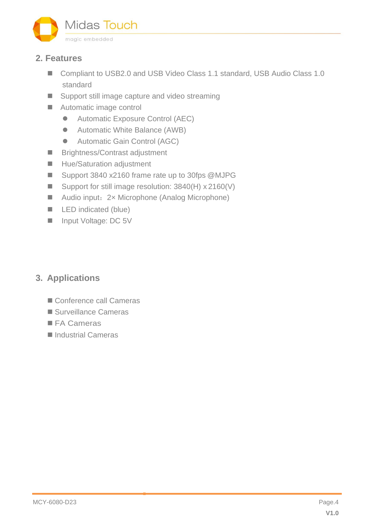

#### **2. Features**

- Compliant to USB2.0 and USB Video Class 1.1 standard, USB Audio Class 1.0 standard
- Support still image capture and video streaming
- Automatic image control
	- Automatic Exposure Control (AEC)
	- Automatic White Balance (AWB)
	- Automatic Gain Control (AGC)
- Brightness/Contrast adjustment
- Hue/Saturation adjustment
- Support 3840 x2160 frame rate up to 30fps @MJPG
- Support for still image resolution: 3840(H) x 2160(V)
- Audio input: 2× Microphone (Analog Microphone)
- LED indicated (blue)
- Input Voltage: DC 5V

### **3. Applications**

- Conference call Cameras
- Surveillance Cameras
- FA Cameras
- Industrial Cameras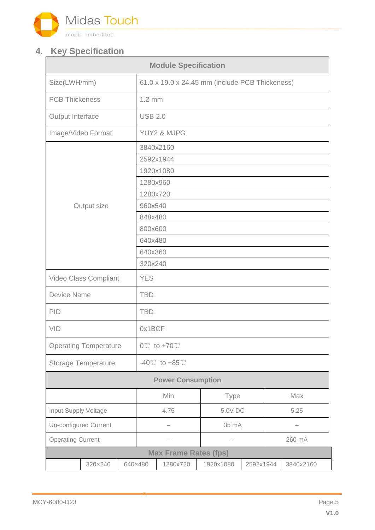

### **4. Key Specification**

| <b>Module Specification</b>  |                       |  |                                                 |                              |           |           |        |           |  |
|------------------------------|-----------------------|--|-------------------------------------------------|------------------------------|-----------|-----------|--------|-----------|--|
| Size(LWH/mm)                 |                       |  | 61.0 x 19.0 x 24.45 mm (include PCB Thickeness) |                              |           |           |        |           |  |
| <b>PCB Thickeness</b>        |                       |  | $1.2 \text{ mm}$                                |                              |           |           |        |           |  |
| Output Interface             |                       |  | <b>USB 2.0</b>                                  |                              |           |           |        |           |  |
|                              | Image/Video Format    |  | YUY2 & MJPG                                     |                              |           |           |        |           |  |
|                              |                       |  | 3840x2160<br>2592x1944                          |                              |           |           |        |           |  |
|                              |                       |  | 1920x1080<br>1280x960<br>1280x720               |                              |           |           |        |           |  |
|                              | Output size           |  | 960x540                                         |                              |           |           |        |           |  |
|                              |                       |  | 848x480<br>800x600<br>640x480                   |                              |           |           |        |           |  |
|                              |                       |  | 640x360<br>320x240                              |                              |           |           |        |           |  |
|                              | Video Class Compliant |  | <b>YES</b>                                      |                              |           |           |        |           |  |
| <b>Device Name</b>           |                       |  | <b>TBD</b>                                      |                              |           |           |        |           |  |
| PID                          |                       |  | <b>TBD</b>                                      |                              |           |           |        |           |  |
| VID                          |                       |  | 0x1BCF                                          |                              |           |           |        |           |  |
| <b>Operating Temperature</b> |                       |  | $0^{\circ}$ C to +70 $^{\circ}$ C               |                              |           |           |        |           |  |
| <b>Storage Temperature</b>   |                       |  | $-40^{\circ}$ C to $+85^{\circ}$ C              |                              |           |           |        |           |  |
| <b>Power Consumption</b>     |                       |  |                                                 |                              |           |           |        |           |  |
|                              |                       |  | Min                                             |                              | Type      |           | Max    |           |  |
| Input Supply Voltage         |                       |  | 4.75                                            |                              | 5.0V DC   |           | 5.25   |           |  |
| <b>Un-configured Current</b> |                       |  | —                                               |                              | 35 mA     |           | -      |           |  |
| <b>Operating Current</b>     |                       |  | -                                               |                              |           |           | 260 mA |           |  |
|                              |                       |  |                                                 | <b>Max Frame Rates (fps)</b> |           |           |        |           |  |
|                              | 320×240               |  | 640×480                                         | 1280x720                     | 1920x1080 | 2592x1944 |        | 3840x2160 |  |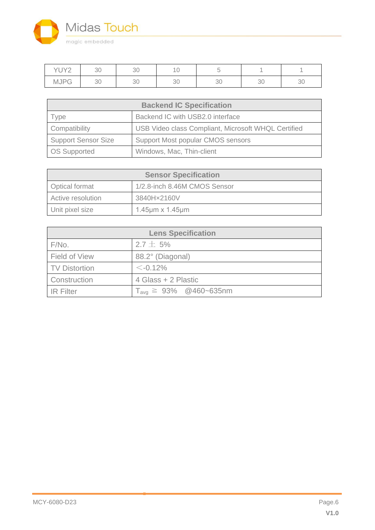

| $V1$ IVO<br>◡╷∠ | 30 | 30 |    |    |              |    |
|-----------------|----|----|----|----|--------------|----|
| MJPC            | 30 | 30 | ◡◡ | ◡◡ | $\cap$<br>◡◡ | ◡◡ |

| <b>Backend IC Specification</b> |                                                     |  |  |
|---------------------------------|-----------------------------------------------------|--|--|
| Type                            | Backend IC with USB2.0 interface                    |  |  |
| Compatibility                   | USB Video class Compliant, Microsoft WHQL Certified |  |  |
| <b>Support Sensor Size</b>      | Support Most popular CMOS sensors                   |  |  |
| <b>OS Supported</b>             | Windows, Mac, Thin-client                           |  |  |

| <b>Sensor Specification</b>                           |                                |  |  |
|-------------------------------------------------------|--------------------------------|--|--|
| 1/2.8-inch 8.46M CMOS Sensor<br><b>Optical format</b> |                                |  |  |
| Active resolution                                     | 3840Hx2160V                    |  |  |
| Unit pixel size                                       | $1.45 \mu m \times 1.45 \mu m$ |  |  |

| <b>Lens Specification</b> |                                                          |  |  |  |
|---------------------------|----------------------------------------------------------|--|--|--|
| F/No.                     | $2.7 \pm 5\%$                                            |  |  |  |
| Field of View             | 88.2° (Diagonal)                                         |  |  |  |
| <b>TV Distortion</b>      | $\leq -0.12\%$                                           |  |  |  |
| Construction              | 4 Glass + 2 Plastic                                      |  |  |  |
| <b>IR Filter</b>          | $T_{\text{ava}} \ge 93\% \quad \textcircled{2460-635nm}$ |  |  |  |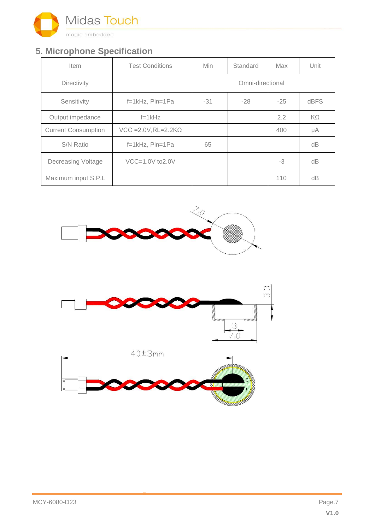

### **5. Microphone Specification**

| <b>Item</b>                | <b>Test Conditions</b>        | <b>Min</b>       | Standard | Max   | Unit |  |
|----------------------------|-------------------------------|------------------|----------|-------|------|--|
| Directivity                |                               | Omni-directional |          |       |      |  |
| Sensitivity                | $f=1kHz$ , Pin=1Pa            | $-31$            | $-28$    | $-25$ | dBFS |  |
| Output impedance           | $f=1kHz$                      |                  |          | 2.2   | KΩ   |  |
| <b>Current Consumption</b> | $VCC = 2.0V, RL = 2.2K\Omega$ |                  |          | 400   | μA   |  |
| <b>S/N Ratio</b>           | f=1kHz, Pin=1Pa               | 65               |          |       | dB   |  |
| <b>Decreasing Voltage</b>  | $VCC=1.0V$ to $2.0V$          |                  |          | $-3$  | dВ   |  |
| Maximum input S.P.L        |                               |                  |          | 110   | dВ   |  |





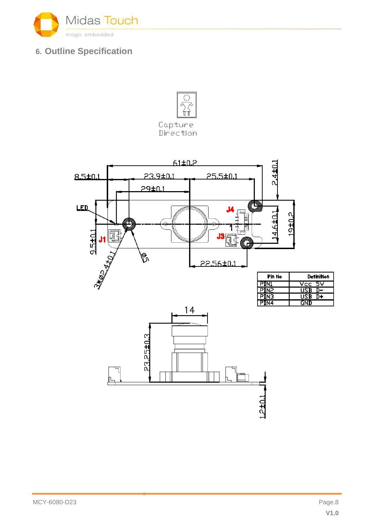

### **6. Outline Specification**